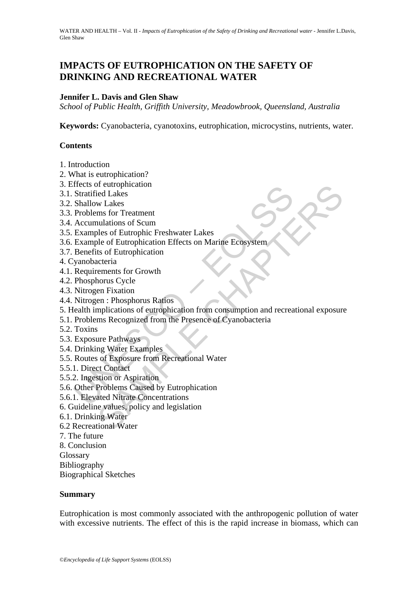# **IMPACTS OF EUTROPHICATION ON THE SAFETY OF DRINKING AND RECREATIONAL WATER**

#### **Jennifer L. Davis and Glen Shaw**

*School of Public Health, Griffith University, Meadowbrook, Queensland, Australia* 

**Keywords:** Cyanobacteria, cyanotoxins, eutrophication, microcystins, nutrients, water.

#### **Contents**

- 1. Introduction
- 2. What is eutrophication?
- 3. Effects of eutrophication
- 3.1. Stratified Lakes
- 3.2. Shallow Lakes
- 3.3. Problems for Treatment
- 3.4. Accumulations of Scum
- 3.5. Examples of Eutrophic Freshwater Lakes
- 3.6. Example of Eutrophication Effects on Marine Ecosystem
- 3.7. Benefits of Eutrophication
- 4. Cyanobacteria
- 4.1. Requirements for Growth
- 4.2. Phosphorus Cycle
- 4.3. Nitrogen Fixation
- 4.4. Nitrogen : Phosphorus Ratios
- Fraction Complementation<br>
Stratified Lakes<br>
Shallow Lakes<br>
Shallow Lakes<br>
Problems for Treatment<br>
Accumulations of Scum<br>
Examples of Eutrophication Effects on Marine Ecosystem<br>
Benefits of Europhication<br>
Benefits of Europh re uropmication<br>
or europmication<br>
or elect Lakes<br>
mulations of Scum<br>
undations of Curtophication<br>
Elect Europhication Effects on Marine Ecosystem<br>
stof Europhication<br>
terria<br>
erements for Growth<br>
norus Cycle<br>
en Fixation<br> 5. Health implications of eutrophication from consumption and recreational exposure
- 5.1. Problems Recognized from the Presence of Cyanobacteria
- 5.2. Toxins
- 5.3. Exposure Pathways
- 5.4. Drinking Water Examples
- 5.5. Routes of Exposure from Recreational Water
- 5.5.1. Direct Contact
- 5.5.2. Ingestion or Aspiration
- 5.6. Other Problems Caused by Eutrophication
- 5.6.1. Elevated Nitrate Concentrations
- 6. Guideline values, policy and legislation
- 6.1. Drinking Water
- 6.2 Recreational Water
- 7. The future
- 8. Conclusion
- Glossary
- Bibliography

Biographical Sketches

#### **Summary**

Eutrophication is most commonly associated with the anthropogenic pollution of water with excessive nutrients. The effect of this is the rapid increase in biomass, which can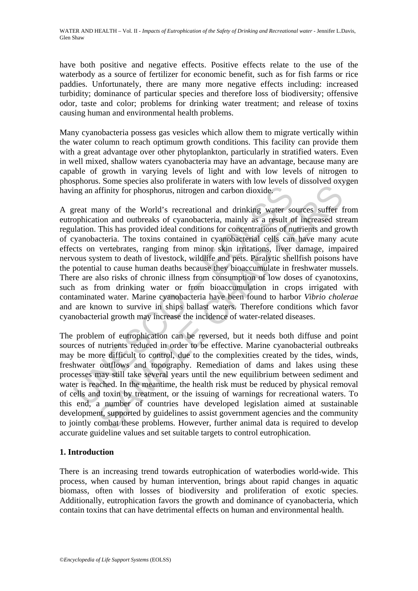have both positive and negative effects. Positive effects relate to the use of the waterbody as a source of fertilizer for economic benefit, such as for fish farms or rice paddies. Unfortunately, there are many more negative effects including: increased turbidity; dominance of particular species and therefore loss of biodiversity; offensive odor, taste and color; problems for drinking water treatment; and release of toxins causing human and environmental health problems.

Many cyanobacteria possess gas vesicles which allow them to migrate vertically within the water column to reach optimum growth conditions. This facility can provide them with a great advantage over other phytoplankton, particularly in stratified waters. Even in well mixed, shallow waters cyanobacteria may have an advantage, because many are capable of growth in varying levels of light and with low levels of nitrogen to phosphorus. Some species also proliferate in waters with low levels of dissolved oxygen having an affinity for phosphorus, nitrogen and carbon dioxide.

ing an affinity for phosphorus, nitrogen and carbon dioxide.<br>
The an affinity for phosphorus, nitrogen and carbon dioxide.<br>
The mean douthreaks of cyanobacteria, mainly as a result of<br>
phication and outhreaks of cyanobacte any of the World's recreational and drinking water sources suffer firmity for phosphorus, nitrogen and carbon dioxide.<br>
any of the World's recreational and drinking water sources suffer firmin and outbreaks of cyanobacteri A great many of the World's recreational and drinking water sources suffer from eutrophication and outbreaks of cyanobacteria, mainly as a result of increased stream regulation. This has provided ideal conditions for concentrations of nutrients and growth of cyanobacteria. The toxins contained in cyanobacterial cells can have many acute effects on vertebrates, ranging from minor skin irritations, liver damage, impaired nervous system to death of livestock, wildlife and pets. Paralytic shellfish poisons have the potential to cause human deaths because they bioaccumulate in freshwater mussels. There are also risks of chronic illness from consumption of low doses of cyanotoxins, such as from drinking water or from bioaccumulation in crops irrigated with contaminated water. Marine cyanobacteria have been found to harbor *Vibrio cholerae* and are known to survive in ships ballast waters. Therefore conditions which favor cyanobacterial growth may increase the incidence of water-related diseases.

The problem of eutrophication can be reversed, but it needs both diffuse and point sources of nutrients reduced in order to be effective. Marine cyanobacterial outbreaks may be more difficult to control, due to the complexities created by the tides, winds, freshwater outflows and topography. Remediation of dams and lakes using these processes may still take several years until the new equilibrium between sediment and water is reached. In the meantime, the health risk must be reduced by physical removal of cells and toxin by treatment, or the issuing of warnings for recreational waters. To this end, a number of countries have developed legislation aimed at sustainable development, supported by guidelines to assist government agencies and the community to jointly combat these problems. However, further animal data is required to develop accurate guideline values and set suitable targets to control eutrophication.

# **1. Introduction**

There is an increasing trend towards eutrophication of waterbodies world-wide. This process, when caused by human intervention, brings about rapid changes in aquatic biomass, often with losses of biodiversity and proliferation of exotic species. Additionally, eutrophication favors the growth and dominance of cyanobacteria, which contain toxins that can have detrimental effects on human and environmental health.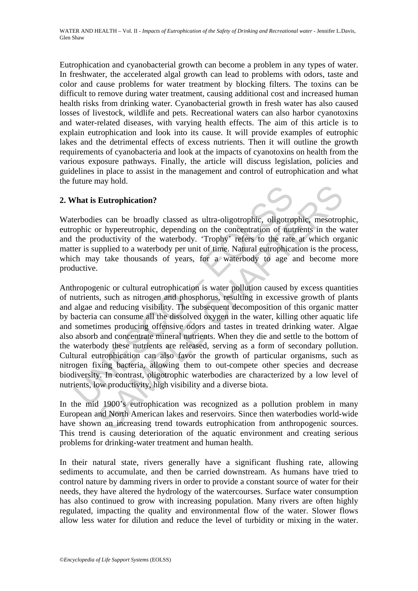Eutrophication and cyanobacterial growth can become a problem in any types of water. In freshwater, the accelerated algal growth can lead to problems with odors, taste and color and cause problems for water treatment by blocking filters. The toxins can be difficult to remove during water treatment, causing additional cost and increased human health risks from drinking water. Cyanobacterial growth in fresh water has also caused losses of livestock, wildlife and pets. Recreational waters can also harbor cyanotoxins and water-related diseases, with varying health effects. The aim of this article is to explain eutrophication and look into its cause. It will provide examples of eutrophic lakes and the detrimental effects of excess nutrients. Then it will outline the growth requirements of cyanobacteria and look at the impacts of cyanotoxins on health from the various exposure pathways. Finally, the article will discuss legislation, policies and guidelines in place to assist in the management and control of eutrophication and what the future may hold.

## **2. What is Eutrophication?**

Waterbodies can be broadly classed as ultra-oligotrophic, oligotrophic, mesotrophic, eutrophic or hypereutrophic, depending on the concentration of nutrients in the water and the productivity of the waterbody. 'Trophy' refers to the rate at which organic matter is supplied to a waterbody per unit of time. Natural eutrophication is the process, which may take thousands of years, for a waterbody to age and become more productive.

**That is Eutrophication?**<br> **Explories:** The broadly classed as ultra-oligotrophic, oligotrophic or hypereutrophic, depending on the concentration of nut<br>
the productivity of the waterbody. Trophy<sup>7</sup> refers to the rate<br>
ter Eutrophication?<br>
Eutrophication?<br>
Se can be broadly classed as ultra-oligotrophic, oligotrophic, mesotrop<br>
or hypereutrophic, depending on the concentration of nutrients in the wo<br>
oductivity of the waterbody. 'Trophy' ref Anthropogenic or cultural eutrophication is water pollution caused by excess quantities of nutrients, such as nitrogen and phosphorus, resulting in excessive growth of plants and algae and reducing visibility. The subsequent decomposition of this organic matter by bacteria can consume all the dissolved oxygen in the water, killing other aquatic life and sometimes producing offensive odors and tastes in treated drinking water. Algae also absorb and concentrate mineral nutrients. When they die and settle to the bottom of the waterbody these nutrients are released, serving as a form of secondary pollution. Cultural eutrophication can also favor the growth of particular organisms, such as nitrogen fixing bacteria, allowing them to out-compete other species and decrease biodiversity. In contrast, oligotrophic waterbodies are characterized by a low level of nutrients, low productivity, high visibility and a diverse biota.

In the mid 1900's eutrophication was recognized as a pollution problem in many European and North American lakes and reservoirs. Since then waterbodies world-wide have shown an increasing trend towards eutrophication from anthropogenic sources. This trend is causing deterioration of the aquatic environment and creating serious problems for drinking-water treatment and human health.

In their natural state, rivers generally have a significant flushing rate, allowing sediments to accumulate, and then be carried downstream. As humans have tried to control nature by damming rivers in order to provide a constant source of water for their needs, they have altered the hydrology of the watercourses. Surface water consumption has also continued to grow with increasing population. Many rivers are often highly regulated, impacting the quality and environmental flow of the water. Slower flows allow less water for dilution and reduce the level of turbidity or mixing in the water.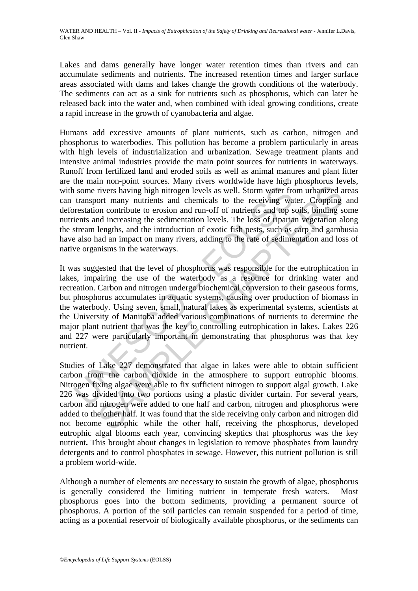Lakes and dams generally have longer water retention times than rivers and can accumulate sediments and nutrients. The increased retention times and larger surface areas associated with dams and lakes change the growth conditions of the waterbody. The sediments can act as a sink for nutrients such as phosphorus, which can later be released back into the water and, when combined with ideal growing conditions, create a rapid increase in the growth of cyanobacteria and algae.

Humans add excessive amounts of plant nutrients, such as carbon, nitrogen and phosphorus to waterbodies. This pollution has become a problem particularly in areas with high levels of industrialization and urbanization. Sewage treatment plants and intensive animal industries provide the main point sources for nutrients in waterways. Runoff from fertilized land and eroded soils as well as animal manures and plant litter are the main non-point sources. Many rivers worldwide have high phosphorus levels, with some rivers having high nitrogen levels as well. Storm water from urbanized areas can transport many nutrients and chemicals to the receiving water. Cropping and deforestation contribute to erosion and run-off of nutrients and top soils, binding some nutrients and increasing the sedimentation levels. The loss of riparian vegetation along the stream lengths, and the introduction of exotic fish pests, such as carp and gambusia have also had an impact on many rivers, adding to the rate of sedimentation and loss of native organisms in the waterways.

If some rivers having high nitrogen levels as well. Storm water from transport many nutrients and chemicals to the receiving warestation contribute to erosion and run-off of nutrients and top sients and increasing the sedi rivers having high nitrogen levels as well. Storm water from urbanized and the microsion and chemicals to the receiving water. Cropping on contribute to erosion and un-off of nuctinets and top sois, binding sold non-ordina It was suggested that the level of phosphorus was responsible for the eutrophication in lakes, impairing the use of the waterbody as a resource for drinking water and recreation. Carbon and nitrogen undergo biochemical conversion to their gaseous forms, but phosphorus accumulates in aquatic systems, causing over production of biomass in the waterbody. Using seven, small, natural lakes as experimental systems, scientists at the University of Manitoba added various combinations of nutrients to determine the major plant nutrient that was the key to controlling eutrophication in lakes. Lakes 226 and 227 were particularly important in demonstrating that phosphorus was that key nutrient.

Studies of Lake 227 demonstrated that algae in lakes were able to obtain sufficient carbon from the carbon dioxide in the atmosphere to support eutrophic blooms. Nitrogen fixing algae were able to fix sufficient nitrogen to support algal growth. Lake 226 was divided into two portions using a plastic divider curtain. For several years, carbon and nitrogen were added to one half and carbon, nitrogen and phosphorus were added to the other half. It was found that the side receiving only carbon and nitrogen did not become eutrophic while the other half, receiving the phosphorus, developed eutrophic algal blooms each year, convincing skeptics that phosphorus was the key nutrient**.** This brought about changes in legislation to remove phosphates from laundry detergents and to control phosphates in sewage. However, this nutrient pollution is still a problem world-wide.

Although a number of elements are necessary to sustain the growth of algae, phosphorus is generally considered the limiting nutrient in temperate fresh waters. Most phosphorus goes into the bottom sediments, providing a permanent source of phosphorus. A portion of the soil particles can remain suspended for a period of time, acting as a potential reservoir of biologically available phosphorus, or the sediments can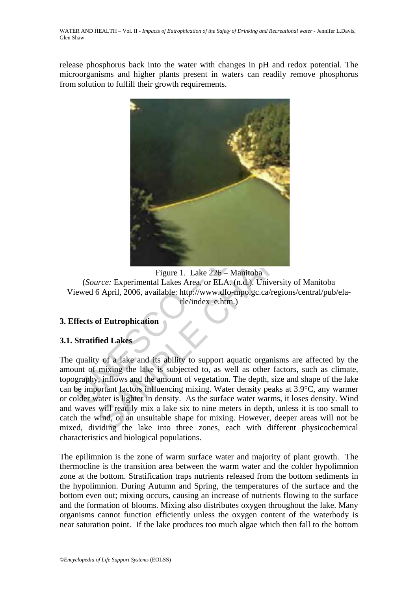release phosphorus back into the water with changes in pH and redox potential. The microorganisms and higher plants present in waters can readily remove phosphorus from solution to fulfill their growth requirements.



Figure 1. Lake 226 – Manitoba (*Source:* Experimental Lakes Area, or ELA. (n.d.). University of Manitoba Viewed 6 April, 2006, available: http://www.dfo-mpo.gc.ca/regions/central/pub/elarle/index\_e.htm.)

## **3. Effects of Eutrophication**

## **3.1. Stratified Lakes**

Figure 1. Lake 226 – Manitoba<br>
Figure 1. Lake 226 – Manitoba<br>
SApril, 2006, available: http://www.dfo-mpo.gc.ca/regions/central/pub/el<br>
fe/index\_e.htm.)<br>
SApril, 2006, available: http://www.dfo-mpo.gc.ca/regions/central/pu The quality of a lake and its ability to support aquatic organisms are affected by the amount of mixing the lake is subjected to, as well as other factors, such as climate, topography, inflows and the amount of vegetation. The depth, size and shape of the lake can be important factors influencing mixing. Water density peaks at 3.9°C, any warmer or colder water is lighter in density. As the surface water warms, it loses density. Wind and waves will readily mix a lake six to nine meters in depth, unless it is too small to catch the wind, or an unsuitable shape for mixing. However, deeper areas will not be mixed, dividing the lake into three zones, each with different physicochemical characteristics and biological populations.

The epilimnion is the zone of warm surface water and majority of plant growth. The thermocline is the transition area between the warm water and the colder hypolimnion zone at the bottom. Stratification traps nutrients released from the bottom sediments in the hypolimnion. During Autumn and Spring, the temperatures of the surface and the bottom even out; mixing occurs, causing an increase of nutrients flowing to the surface and the formation of blooms. Mixing also distributes oxygen throughout the lake. Many organisms cannot function efficiently unless the oxygen content of the waterbody is near saturation point. If the lake produces too much algae which then fall to the bottom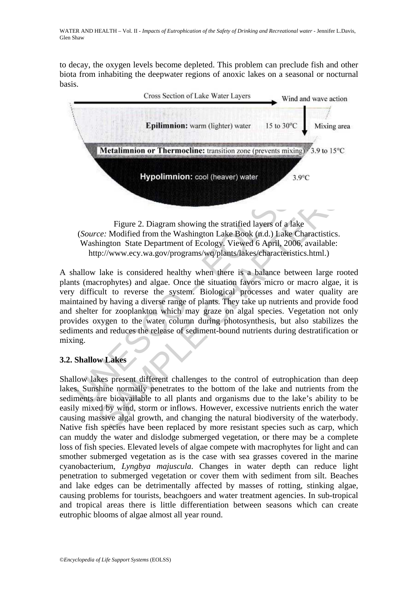to decay, the oxygen levels become depleted. This problem can preclude fish and other biota from inhabiting the deepwater regions of anoxic lakes on a seasonal or nocturnal basis.



(*Source:* Modified from the Washington Lake Book (n.d.) Lake Charactistics. Washington State Department of Ecology. Viewed 6 April, 2006, available: http://www.ecy.wa.gov/programs/wq/plants/lakes/characteristics.html.)

Figure 2. Diagram showing the stratified layers of a la<br>
(*Source:* Modified from the Washington Lake Book (n.d.) Lake<br>
Washington State Department of Ecology. Viewed 6 April, 200<br>
http://www.ecy.wa.gov/programs/wq/plants/ Figure 2. Diagram showing the straified layers of a lake<br>ce: Modified from the Washington Lake Book (n.d.) Lake Charactistics.<br>
entry to the Charactistic Schington State Department of Ecology. Viewed 6 April, 2006, availab A shallow lake is considered healthy when there is a balance between large rooted plants (macrophytes) and algae. Once the situation favors micro or macro algae, it is very difficult to reverse the system. Biological processes and water quality are maintained by having a diverse range of plants. They take up nutrients and provide food and shelter for zooplankton which may graze on algal species. Vegetation not only provides oxygen to the water column during photosynthesis, but also stabilizes the sediments and reduces the release of sediment-bound nutrients during destratification or mixing.

## **3.2. Shallow Lakes**

Shallow lakes present different challenges to the control of eutrophication than deep lakes. Sunshine normally penetrates to the bottom of the lake and nutrients from the sediments are bioavailable to all plants and organisms due to the lake's ability to be easily mixed by wind, storm or inflows. However, excessive nutrients enrich the water causing massive algal growth, and changing the natural biodiversity of the waterbody. Native fish species have been replaced by more resistant species such as carp, which can muddy the water and dislodge submerged vegetation, or there may be a complete loss of fish species. Elevated levels of algae compete with macrophytes for light and can smother submerged vegetation as is the case with sea grasses covered in the marine cyanobacterium, *Lyngbya majuscula*. Changes in water depth can reduce light penetration to submerged vegetation or cover them with sediment from silt. Beaches and lake edges can be detrimentally affected by masses of rotting, stinking algae, causing problems for tourists, beachgoers and water treatment agencies. In sub-tropical and tropical areas there is little differentiation between seasons which can create eutrophic blooms of algae almost all year round.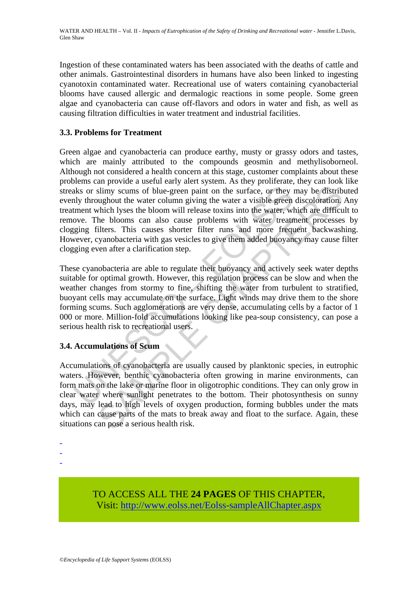Ingestion of these contaminated waters has been associated with the deaths of cattle and other animals. Gastrointestinal disorders in humans have also been linked to ingesting cyanotoxin contaminated water. Recreational use of waters containing cyanobacterial blooms have caused allergic and dermalogic reactions in some people. Some green algae and cyanobacteria can cause off-flavors and odors in water and fish, as well as causing filtration difficulties in water treatment and industrial facilities.

# **3.3. Problems for Treatment**

aks or slimy scums of blue-green paint on the surface, or they is<br>not ally throughout the water column giving the water a visible green<br>tment which lyses the bloom will release toxins into the water, wl<br>ove. The blooms can an possible and the water of the burst processes and the surface. The most processes and the water column giving the water a visible green discoloration, which lyses the bloom will release toxins into the water, which are Green algae and cyanobacteria can produce earthy, musty or grassy odors and tastes, which are mainly attributed to the compounds geosmin and methylisoborneol. Although not considered a health concern at this stage, customer complaints about these problems can provide a useful early alert system. As they proliferate, they can look like streaks or slimy scums of blue-green paint on the surface, or they may be distributed evenly throughout the water column giving the water a visible green discoloration. Any treatment which lyses the bloom will release toxins into the water, which are difficult to remove. The blooms can also cause problems with water treatment processes by clogging filters. This causes shorter filter runs and more frequent backwashing. However, cyanobacteria with gas vesicles to give them added buoyancy may cause filter clogging even after a clarification step.

These cyanobacteria are able to regulate their buoyancy and actively seek water depths suitable for optimal growth. However, this regulation process can be slow and when the weather changes from stormy to fine, shifting the water from turbulent to stratified, buoyant cells may accumulate on the surface. Light winds may drive them to the shore forming scums. Such agglomerations are very dense, accumulating cells by a factor of 1 000 or more. Million-fold accumulations looking like pea-soup consistency, can pose a serious health risk to recreational users.

## **3.4. Accumulations of Scum**

Accumulations of cyanobacteria are usually caused by planktonic species, in eutrophic waters. However, benthic cyanobacteria often growing in marine environments, can form mats on the lake or marine floor in oligotrophic conditions. They can only grow in clear water where sunlight penetrates to the bottom. Their photosynthesis on sunny days, may lead to high levels of oxygen production, forming bubbles under the mats which can cause parts of the mats to break away and float to the surface. Again, these situations can pose a serious health risk.

-

-

TO ACCESS ALL THE **24 PAGES** OF THIS CHAPTER, Visi[t: http://www.eolss.net/Eolss-sampleAllChapter.aspx](https://www.eolss.net/ebooklib/sc_cart.aspx?File=E2-20A-04-02)

<sup>-</sup>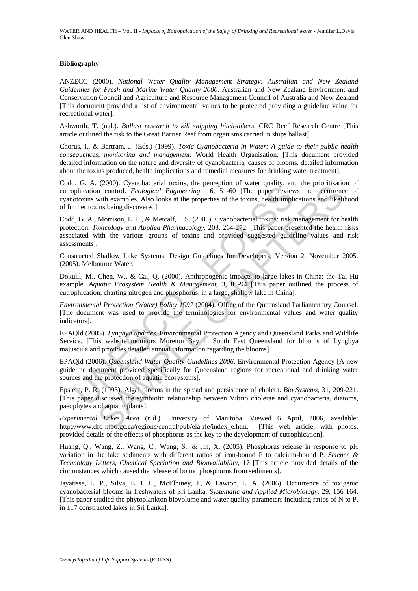#### **Bibliography**

ANZECC (2000). *National Water Quality Management Strategy: Australian and New Zealand Guidelines for Fresh and Marine Water Quality 2000*. Australian and New Zealand Environment and Conservation Council and Agriculture and Resource Management Council of Australia and New Zealand [This document provided a list of environmental values to be protected providing a guideline value for recreational water].

Ashworth, T. (n.d.). *Ballast research to kill shipping hitch-hikers*. CRC Reef Research Centre [This article outlined the risk to the Great Barrier Reef from organisms carried in ships ballast].

Chorus, I., & Bartram, J. (Eds.) (1999). *Toxic Cyanobacteria in Water: A guide to their public health consequences, monitoring and management*. World Health Organisation. [This document provided detailed information on the nature and diversity of cyanobacteria, causes of blooms, detailed information about the toxins produced, health implications and remedial measures for drinking water treatment].

Codd, G. A. (2000). Cyanobacterial toxins, the perception of water quality, and the prioritisation of eutrophication control. *Ecological Engineering*, 16, 51-60 [The paper reviews the occurrence of cyanotoxins with examples. Also looks at the properties of the toxins, health implications and likelihood of further toxins being discovered].

(c. 21. (2000), Cynnoxieum Costal, and Pertephon Control and the paper review<br>by the case, control *Ecological Engineering*, 16, 51-60 [The paper review<br>otoxins with examples. Also looks at the properties of the toxins, h (2000). Cyanobacketa Osista, the Peterpoint of wate quantity, and the photisaat<br>in control. *Ecological* Engineering, 16, 51-60 (The paper reviews the occurrence<br>in the capacitor of the toxins, health implications and lik Codd, G. A., Morrison, L. F., & Metcalf, J. S. (2005). Cyanobacterial toxins: risk management for health protection. *Toxicology and Applied Pharmacology*, 203, 264-272. [This paper presented the health risks associated with the various groups of toxins and provided suggested guideline values and risk assessments].

Constructed Shallow Lake Systems: Design Guidelines for Developers, Version 2, November 2005. (2005). Melbourne Water.

Dokulil, M., Chen, W., & Cai, Q. (2000). Anthropogenic impacts to large lakes in China: the Tai Hu example. *Aquatic Ecosystem Health & Management*, 3, 81-94 [This paper outlined the process of eutrophication, charting nitrogen and phosphorus, in a large, shallow lake in China].

*Environmental Protection (Water) Policy 1997* (2004). Office of the Queensland Parliamentary Counsel. [The document was used to provide the terminologies for environmental values and water quality indicators].

EPAQld (2005). *Lyngbya updates*. Environmental Protection Agency and Queensland Parks and Wildlife Service. [This website monitors Moreton Bay in South East Queensland for blooms of Lyngbya majuscula and provides detailed annual information regarding the blooms].

EPAQld (2006). *Queensland Water Quality Guidelines 2006*. Environmental Protection Agency [A new guideline document provided specifically for Queensland regions for recreational and drinking water sources and the protection of aquatic ecosystems].

Epstein, P. R. (1993). Algal blooms in the spread and persistence of cholera. *Bio Systems*, 31, 209-221. [This paper discussed the symbiotic relationship between Vibrio cholerae and cyanobacteria, diatoms, paeophytes and aquatic plants].

*Experimental Lakes Area* (n.d.). University of Manitoba. Viewed 6 April, 2006, available: http://www.dfo-mpo.gc.ca/regions/central/pub/ela-rle/index\_e.htm. [This web article, with photos, provided details of the effects of phosphorus as the key to the development of eutrophication].

Huang, Q., Wang, Z., Wang, C., Wang, S., & Jin, X. (2005). Phosphorus release in response to pH variation in the lake sediments with different ratios of iron-bound P to calcium-bound P. *Science & Technology Letters, Chemical Speciation and Bioavailability*, 17 [This article provided details of the circumstances which caused the release of bound phosphorus from sediments].

Jayatissa, L. P., Silva, E. I. L., McElhiney, J., & Lawton, L. A. (2006). Occurrence of toxigenic cyanobacterial blooms in freshwaters of Sri Lanka. *Systematic and Applied Microbiology*, 29, 156-164. [This paper studied the phytoplankton biovolume and water quality parameters including ratios of N to P, in 117 constructed lakes in Sri Lanka].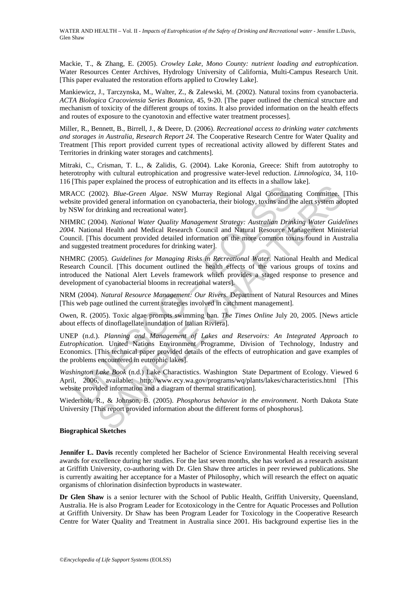Mackie, T., & Zhang, E. (2005). *Crowley Lake, Mono County: nutrient loading and eutrophication*. Water Resources Center Archives, Hydrology University of California, Multi-Campus Research Unit. [This paper evaluated the restoration efforts applied to Crowley Lake].

Mankiewicz, J., Tarczynska, M., Walter, Z., & Zalewski, M. (2002). Natural toxins from cyanobacteria. *ACTA Biologica Cracoviensia Series Botanica*, 45, 9-20. [The paper outlined the chemical structure and mechanism of toxicity of the different groups of toxins. It also provided information on the health effects and routes of exposure to the cyanotoxin and effective water treatment processes].

Miller, R., Bennett, B., Birrell, J., & Deere, D. (2006). *Recreational access to drinking water catchments and storages in Australia, Research Report 24*. The Cooperative Research Centre for Water Quality and Treatment [This report provided current types of recreational activity allowed by different States and Territories in drinking water storages and catchments].

Mitraki, C., Crisman, T. L., & Zalidis, G. (2004). Lake Koronia, Greece: Shift from autotrophy to heterotrophy with cultural eutrophication and progressive water-level reduction. *Limnologica*, 34, 110- 116 [This paper explained the process of eutrophication and its effects in a shallow lake].

MRACC (2002). *Blue-Green Algae*. NSW Murray Regional Algal Coordinating Committee. [This website provided general information on cyanobacteria, their biology, toxins and the alert system adopted by NSW for drinking and recreational water].

NHMRC (2004). *National Water Quality Management Strategy: Australian Drinking Water Guidelines 2004.* National Health and Medical Research Council and Natural Resource Management Ministerial Council. [This document provided detailed information on the more common toxins found in Australia and suggested treatment procedures for drinking water].

CC (2002). *Blue-Green Algae.* NSW Murray Regional Algal Coordinative provided general information on cyanobacteria, their biology, toxins and the SW for drinking and recreational water]. Native and the SW for drinking and 1002). *Blue-Green Algae*. NSW Murray Regional Algal Coordinating Committee.<br>
ided general information on cyanobacteria, their biology, toxins and the alert system addiniking and recreational water].<br>
ided general informat NHMRC (2005). *Guidelines for Managing Risks in Recreational Water*. National Health and Medical Research Council. [This document outlined the health effects of the various groups of toxins and introduced the National Alert Levels framework which provides a staged response to presence and development of cyanobacterial blooms in recreational waters].

NRM (2004). *Natural Resource Management: Our Rivers*. Department of Natural Resources and Mines [This web page outlined the current strategies involved in catchment management].

Owen, R. (2005). Toxic algae prompts swimming ban. *The Times Online* July 20, 2005. [News article about effects of dinoflagellate inundation of Italian Riviera].

UNEP (n.d.). *Planning and Management of Lakes and Reservoirs: An Integrated Approach to Eutrophication.* United Nations Environment Programme, Division of Technology, Industry and Economics. [This technical paper provided details of the effects of eutrophication and gave examples of the problems encountered in eutrophic lakes].

*Washington Lake Book* (n.d.) Lake Charactistics. Washington State Department of Ecology. Viewed 6 April, 2006, available: http://www.ecy.wa.gov/programs/wq/plants/lakes/characteristics.html [This website provided information and a diagram of thermal stratification].

Wiederholt, R., & Johnson, B. (2005). *Phosphorus behavior in the environment*. North Dakota State University [This report provided information about the different forms of phosphorus].

#### **Biographical Sketches**

**Jennifer L. Davis** recently completed her Bachelor of Science Environmental Health receiving several awards for excellence during her studies. For the last seven months, she has worked as a research assistant at Griffith University, co-authoring with Dr. Glen Shaw three articles in peer reviewed publications. She is currently awaiting her acceptance for a Master of Philosophy, which will research the effect on aquatic organisms of chlorination disinfection byproducts in wastewater.

**Dr Glen Shaw** is a senior lecturer with the School of Public Health, Griffith University, Queensland, Australia. He is also Program Leader for Ecotoxicology in the Centre for Aquatic Processes and Pollution at Griffith University. Dr Shaw has been Program Leader for Toxicology in the Cooperative Research Centre for Water Quality and Treatment in Australia since 2001. His background expertise lies in the